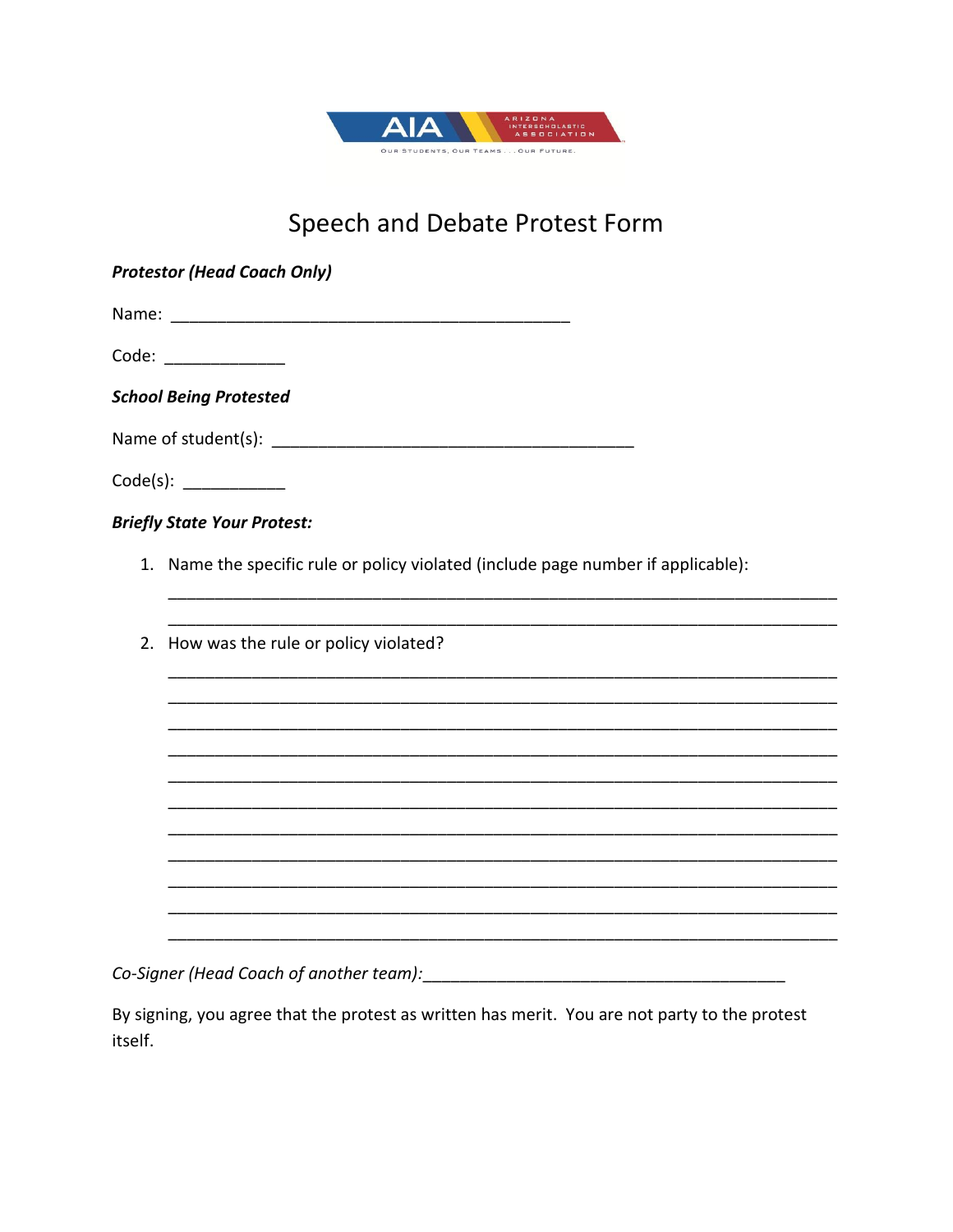

## Speech and Debate Protest Form

| <b>Protestor (Head Coach Only)</b>                                                |
|-----------------------------------------------------------------------------------|
|                                                                                   |
| Code: _____________                                                               |
| <b>School Being Protested</b>                                                     |
|                                                                                   |
|                                                                                   |
| <b>Briefly State Your Protest:</b>                                                |
| 1. Name the specific rule or policy violated (include page number if applicable): |
|                                                                                   |
| 2. How was the rule or policy violated?                                           |
|                                                                                   |
|                                                                                   |
|                                                                                   |
|                                                                                   |
|                                                                                   |
|                                                                                   |
|                                                                                   |
|                                                                                   |

By signing, you agree that the protest as written has merit. You are not party to the protest itself.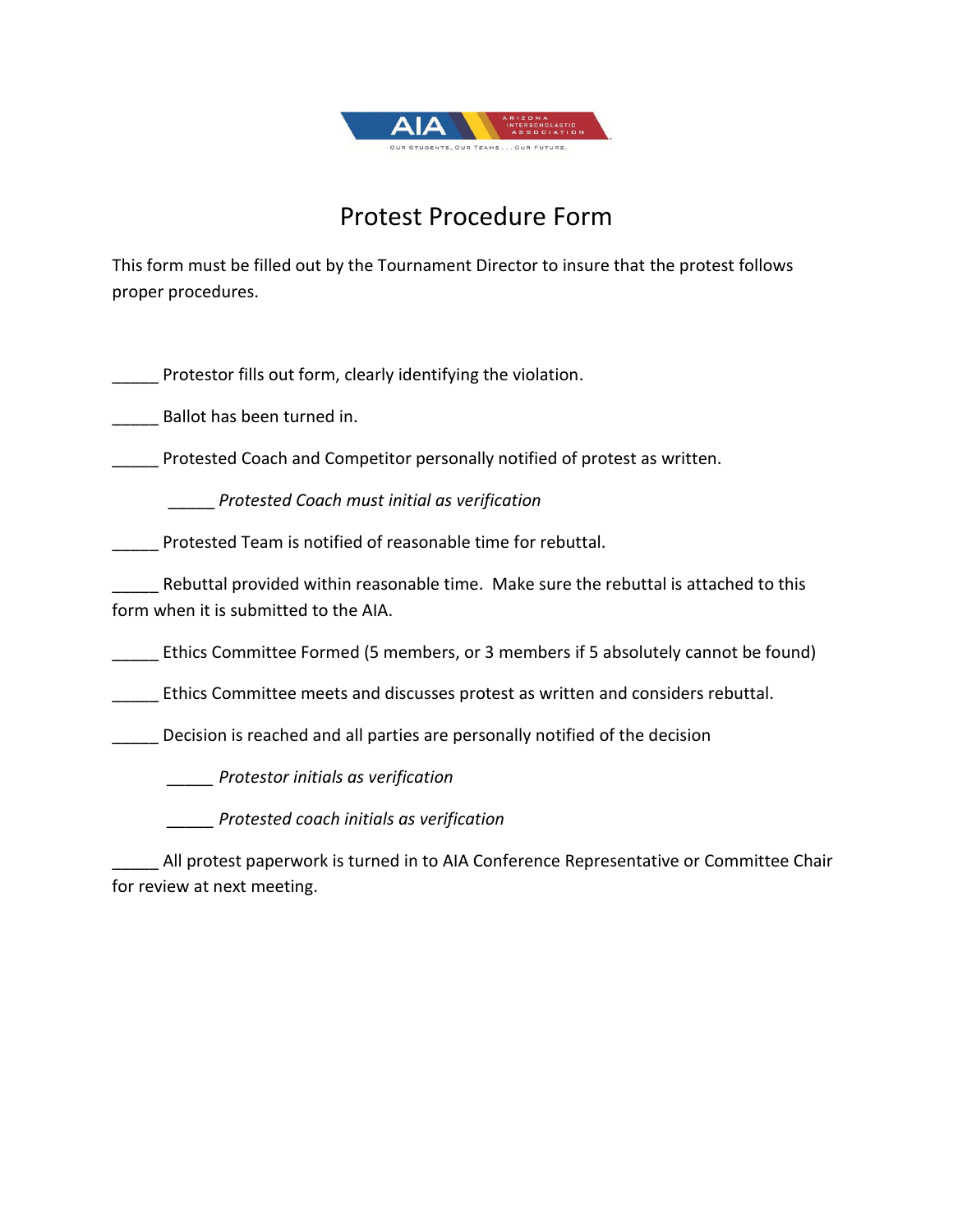

## Protest Procedure Form

This form must be filled out by the Tournament Director to insure that the protest follows proper procedures.

Protestor fills out form, clearly identifying the violation.

\_\_\_\_\_ Ballot has been turned in.

Protested Coach and Competitor personally notified of protest as written.

\_\_\_\_\_ *Protested Coach must initial as verification*

Protested Team is notified of reasonable time for rebuttal.

Rebuttal provided within reasonable time. Make sure the rebuttal is attached to this form when it is submitted to the AIA.

\_\_\_\_\_ Ethics Committee Formed (5 members, or 3 members if 5 absolutely cannot be found)

\_\_\_\_\_ Ethics Committee meets and discusses protest as written and considers rebuttal.

Decision is reached and all parties are personally notified of the decision

*\_\_\_\_\_ Protestor initials as verification*

*\_\_\_\_\_ Protested coach initials as verification*

All protest paperwork is turned in to AIA Conference Representative or Committee Chair for review at next meeting.